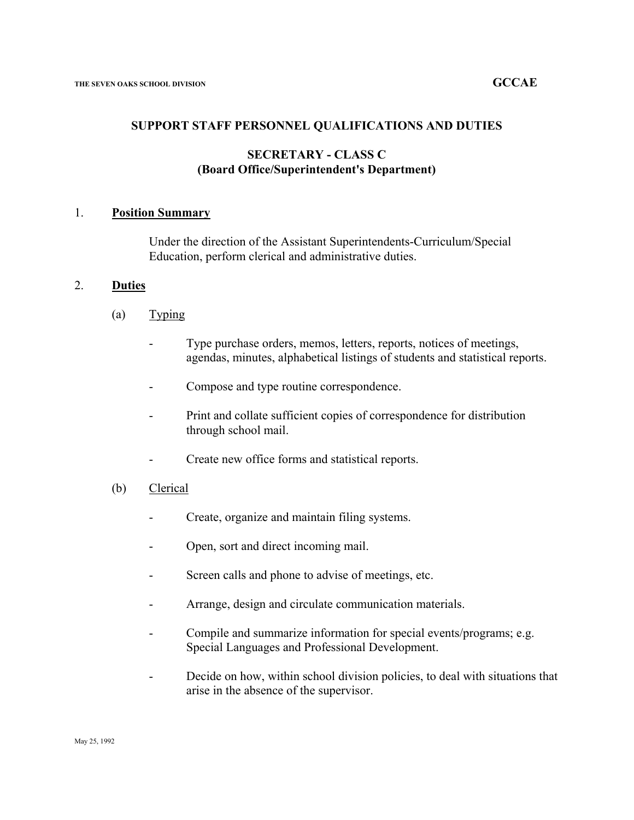#### **SUPPORT STAFF PERSONNEL QUALIFICATIONS AND DUTIES**

#### **SECRETARY - CLASS C (Board Office/Superintendent's Department)**

#### 1. **Position Summary**

Under the direction of the Assistant Superintendents-Curriculum/Special Education, perform clerical and administrative duties.

#### 2. **Duties**

- $(a)$  Typing
	- Type purchase orders, memos, letters, reports, notices of meetings, agendas, minutes, alphabetical listings of students and statistical reports.
	- Compose and type routine correspondence.
	- Print and collate sufficient copies of correspondence for distribution through school mail.
	- Create new office forms and statistical reports.
- (b) Clerical
	- Create, organize and maintain filing systems.
	- Open, sort and direct incoming mail.
	- Screen calls and phone to advise of meetings, etc.
	- Arrange, design and circulate communication materials.
	- Compile and summarize information for special events/programs; e.g. Special Languages and Professional Development.
	- Decide on how, within school division policies, to deal with situations that arise in the absence of the supervisor.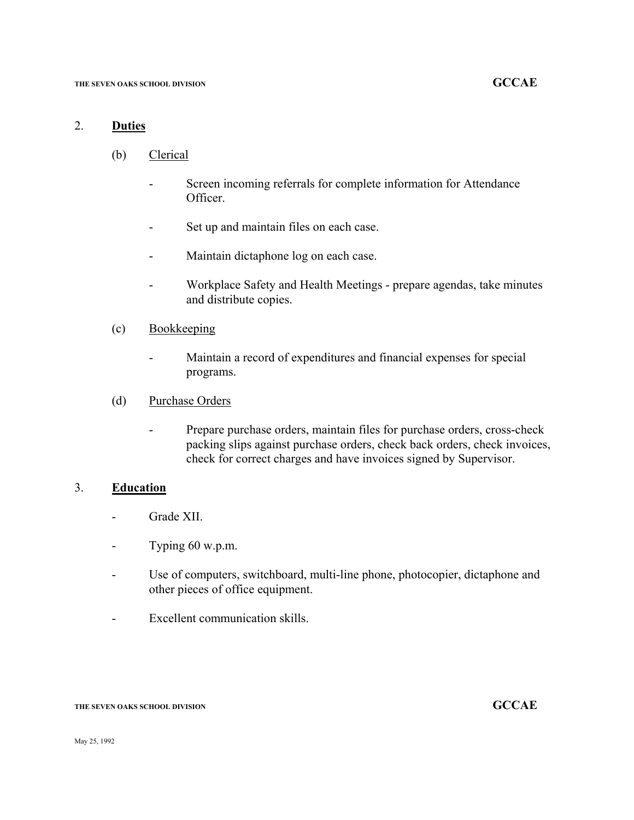### 2. **Duties**

- (b) Clerical
	- Screen incoming referrals for complete information for Attendance Officer.
	- Set up and maintain files on each case.
	- Maintain dictaphone log on each case.
	- Workplace Safety and Health Meetings prepare agendas, take minutes and distribute copies.

#### (c) Bookkeeping

- Maintain a record of expenditures and financial expenses for special programs.

#### (d) Purchase Orders

- Prepare purchase orders, maintain files for purchase orders, cross-check packing slips against purchase orders, check back orders, check invoices, check for correct charges and have invoices signed by Supervisor.

#### 3. **Education**

- Grade XII.
- Typing 60 w.p.m.
- Use of computers, switchboard, multi-line phone, photocopier, dictaphone and other pieces of office equipment.
- Excellent communication skills.

#### **THE SEVEN OAKS SCHOOL DIVISION GCCAE**